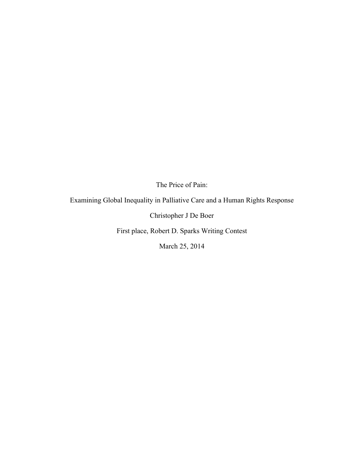The Price of Pain:

Examining Global Inequality in Palliative Care and a Human Rights Response

Christopher J De Boer

First place, Robert D. Sparks Writing Contest

March 25, 2014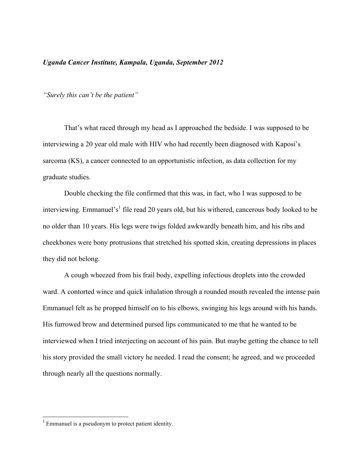# *Uganda Cancer Institute, Kampala, Uganda, September 2012*

*"Surely this can't be the patient"*

That's what raced through my head as I approached the bedside. I was supposed to be interviewing a 20 year old male with HIV who had recently been diagnosed with Kaposi's sarcoma (KS), a cancer connected to an opportunistic infection, as data collection for my graduate studies.

Double checking the file confirmed that this was, in fact, who I was supposed to be interviewing. Emmanuel's<sup>1</sup> file read 20 years old, but his withered, cancerous body looked to be no older than 10 years. His legs were twigs folded awkwardly beneath him, and his ribs and cheekbones were bony protrusions that stretched his spotted skin, creating depressions in places they did not belong.

A cough wheezed from his frail body, expelling infectious droplets into the crowded ward. A contorted wince and quick inhalation through a rounded mouth revealed the intense pain Emmanuel felt as he propped himself on to his elbows, swinging his legs around with his hands. His furrowed brow and determined pursed lips communicated to me that he wanted to be interviewed when I tried interjecting on account of his pain. But maybe getting the chance to tell his story provided the small victory he needed. I read the consent; he agreed, and we proceeded through nearly all the questions normally.

<u> 1989 - Johann Stein, markin film yn y breninn y breninn y breninn y breninn y breninn y breninn y breninn y b</u>

<sup>&</sup>lt;sup>1</sup> Emmanuel is a pseudonym to protect patient identity.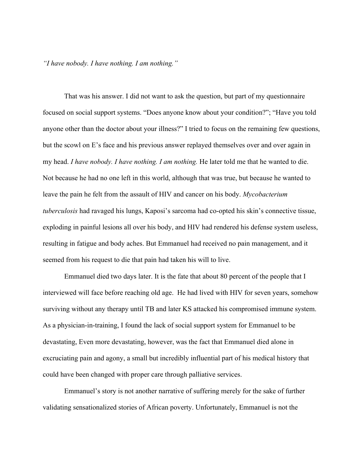*"I have nobody. I have nothing. I am nothing."*

That was his answer. I did not want to ask the question, but part of my questionnaire focused on social support systems. "Does anyone know about your condition?"; "Have you told anyone other than the doctor about your illness?" I tried to focus on the remaining few questions, but the scowl on E's face and his previous answer replayed themselves over and over again in my head. *I have nobody. I have nothing. I am nothing.* He later told me that he wanted to die. Not because he had no one left in this world, although that was true, but because he wanted to leave the pain he felt from the assault of HIV and cancer on his body. *Mycobacterium tuberculosis* had ravaged his lungs, Kaposi's sarcoma had co-opted his skin's connective tissue, exploding in painful lesions all over his body, and HIV had rendered his defense system useless, resulting in fatigue and body aches. But Emmanuel had received no pain management, and it seemed from his request to die that pain had taken his will to live.

Emmanuel died two days later. It is the fate that about 80 percent of the people that I interviewed will face before reaching old age. He had lived with HIV for seven years, somehow surviving without any therapy until TB and later KS attacked his compromised immune system. As a physician-in-training, I found the lack of social support system for Emmanuel to be devastating, Even more devastating, however, was the fact that Emmanuel died alone in excruciating pain and agony, a small but incredibly influential part of his medical history that could have been changed with proper care through palliative services.

Emmanuel's story is not another narrative of suffering merely for the sake of further validating sensationalized stories of African poverty. Unfortunately, Emmanuel is not the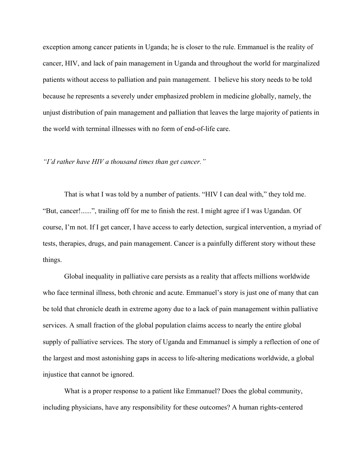exception among cancer patients in Uganda; he is closer to the rule. Emmanuel is the reality of cancer, HIV, and lack of pain management in Uganda and throughout the world for marginalized patients without access to palliation and pain management. I believe his story needs to be told because he represents a severely under emphasized problem in medicine globally, namely, the unjust distribution of pain management and palliation that leaves the large majority of patients in the world with terminal illnesses with no form of end-of-life care.

### *"I'd rather have HIV a thousand times than get cancer."*

That is what I was told by a number of patients. "HIV I can deal with," they told me. "But, cancer!......", trailing off for me to finish the rest. I might agree if I was Ugandan. Of course, I'm not. If I get cancer, I have access to early detection, surgical intervention, a myriad of tests, therapies, drugs, and pain management. Cancer is a painfully different story without these things.

Global inequality in palliative care persists as a reality that affects millions worldwide who face terminal illness, both chronic and acute. Emmanuel's story is just one of many that can be told that chronicle death in extreme agony due to a lack of pain management within palliative services. A small fraction of the global population claims access to nearly the entire global supply of palliative services. The story of Uganda and Emmanuel is simply a reflection of one of the largest and most astonishing gaps in access to life-altering medications worldwide, a global injustice that cannot be ignored.

What is a proper response to a patient like Emmanuel? Does the global community, including physicians, have any responsibility for these outcomes? A human rights-centered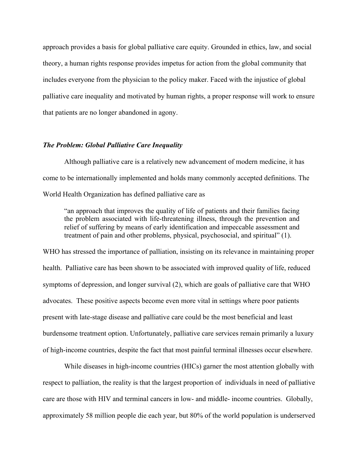approach provides a basis for global palliative care equity. Grounded in ethics, law, and social theory, a human rights response provides impetus for action from the global community that includes everyone from the physician to the policy maker. Faced with the injustice of global palliative care inequality and motivated by human rights, a proper response will work to ensure that patients are no longer abandoned in agony.

### *The Problem: Global Palliative Care Inequality*

Although palliative care is a relatively new advancement of modern medicine, it has come to be internationally implemented and holds many commonly accepted definitions. The World Health Organization has defined palliative care as

"an approach that improves the quality of life of patients and their families facing the problem associated with life-threatening illness, through the prevention and relief of suffering by means of early identification and impeccable assessment and treatment of pain and other problems, physical, psychosocial, and spiritual" (1).

WHO has stressed the importance of palliation, insisting on its relevance in maintaining proper health. Palliative care has been shown to be associated with improved quality of life, reduced symptoms of depression, and longer survival (2), which are goals of palliative care that WHO advocates. These positive aspects become even more vital in settings where poor patients present with late-stage disease and palliative care could be the most beneficial and least burdensome treatment option. Unfortunately, palliative care services remain primarily a luxury of high-income countries, despite the fact that most painful terminal illnesses occur elsewhere.

While diseases in high-income countries (HICs) garner the most attention globally with respect to palliation, the reality is that the largest proportion of individuals in need of palliative care are those with HIV and terminal cancers in low- and middle- income countries. Globally, approximately 58 million people die each year, but 80% of the world population is underserved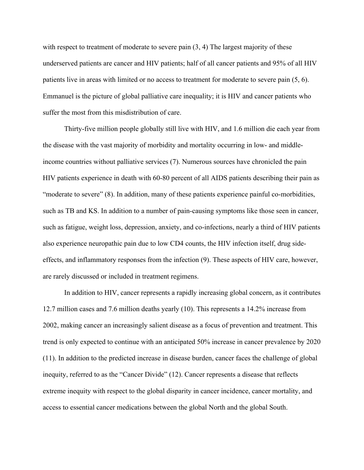with respect to treatment of moderate to severe pain  $(3, 4)$ . The largest majority of these underserved patients are cancer and HIV patients; half of all cancer patients and 95% of all HIV patients live in areas with limited or no access to treatment for moderate to severe pain (5, 6). Emmanuel is the picture of global palliative care inequality; it is HIV and cancer patients who suffer the most from this misdistribution of care.

Thirty-five million people globally still live with HIV, and 1.6 million die each year from the disease with the vast majority of morbidity and mortality occurring in low- and middleincome countries without palliative services (7). Numerous sources have chronicled the pain HIV patients experience in death with 60-80 percent of all AIDS patients describing their pain as "moderate to severe" (8). In addition, many of these patients experience painful co-morbidities, such as TB and KS. In addition to a number of pain-causing symptoms like those seen in cancer, such as fatigue, weight loss, depression, anxiety, and co-infections, nearly a third of HIV patients also experience neuropathic pain due to low CD4 counts, the HIV infection itself, drug sideeffects, and inflammatory responses from the infection (9). These aspects of HIV care, however, are rarely discussed or included in treatment regimens.

In addition to HIV, cancer represents a rapidly increasing global concern, as it contributes 12.7 million cases and 7.6 million deaths yearly (10). This represents a 14.2% increase from 2002, making cancer an increasingly salient disease as a focus of prevention and treatment. This trend is only expected to continue with an anticipated 50% increase in cancer prevalence by 2020 (11). In addition to the predicted increase in disease burden, cancer faces the challenge of global inequity, referred to as the "Cancer Divide" (12). Cancer represents a disease that reflects extreme inequity with respect to the global disparity in cancer incidence, cancer mortality, and access to essential cancer medications between the global North and the global South.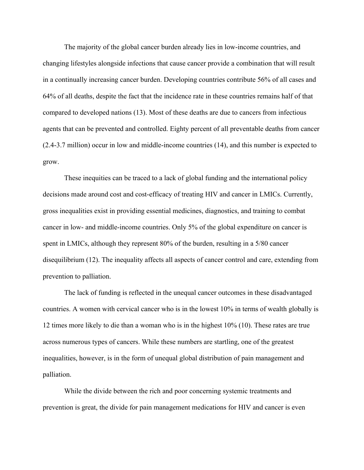The majority of the global cancer burden already lies in low-income countries, and changing lifestyles alongside infections that cause cancer provide a combination that will result in a continually increasing cancer burden. Developing countries contribute 56% of all cases and 64% of all deaths, despite the fact that the incidence rate in these countries remains half of that compared to developed nations (13). Most of these deaths are due to cancers from infectious agents that can be prevented and controlled. Eighty percent of all preventable deaths from cancer (2.4-3.7 million) occur in low and middle-income countries (14), and this number is expected to grow.

These inequities can be traced to a lack of global funding and the international policy decisions made around cost and cost-efficacy of treating HIV and cancer in LMICs. Currently, gross inequalities exist in providing essential medicines, diagnostics, and training to combat cancer in low- and middle-income countries. Only 5% of the global expenditure on cancer is spent in LMICs, although they represent 80% of the burden, resulting in a 5/80 cancer disequilibrium (12). The inequality affects all aspects of cancer control and care, extending from prevention to palliation.

The lack of funding is reflected in the unequal cancer outcomes in these disadvantaged countries. A women with cervical cancer who is in the lowest 10% in terms of wealth globally is 12 times more likely to die than a woman who is in the highest 10% (10). These rates are true across numerous types of cancers. While these numbers are startling, one of the greatest inequalities, however, is in the form of unequal global distribution of pain management and palliation.

While the divide between the rich and poor concerning systemic treatments and prevention is great, the divide for pain management medications for HIV and cancer is even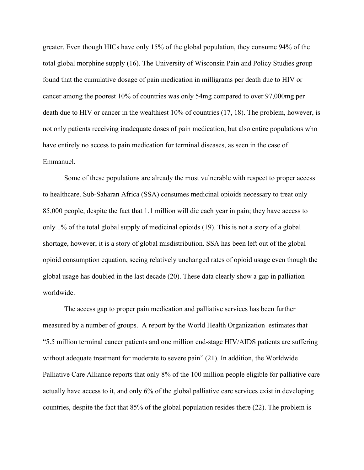greater. Even though HICs have only 15% of the global population, they consume 94% of the total global morphine supply (16). The University of Wisconsin Pain and Policy Studies group found that the cumulative dosage of pain medication in milligrams per death due to HIV or cancer among the poorest 10% of countries was only 54mg compared to over 97,000mg per death due to HIV or cancer in the wealthiest 10% of countries (17, 18). The problem, however, is not only patients receiving inadequate doses of pain medication, but also entire populations who have entirely no access to pain medication for terminal diseases, as seen in the case of Emmanuel.

Some of these populations are already the most vulnerable with respect to proper access to healthcare. Sub-Saharan Africa (SSA) consumes medicinal opioids necessary to treat only 85,000 people, despite the fact that 1.1 million will die each year in pain; they have access to only 1% of the total global supply of medicinal opioids (19). This is not a story of a global shortage, however; it is a story of global misdistribution. SSA has been left out of the global opioid consumption equation, seeing relatively unchanged rates of opioid usage even though the global usage has doubled in the last decade (20). These data clearly show a gap in palliation worldwide.

The access gap to proper pain medication and palliative services has been further measured by a number of groups. A report by the World Health Organization estimates that "5.5 million terminal cancer patients and one million end-stage HIV/AIDS patients are suffering without adequate treatment for moderate to severe pain" (21). In addition, the Worldwide Palliative Care Alliance reports that only 8% of the 100 million people eligible for palliative care actually have access to it, and only 6% of the global palliative care services exist in developing countries, despite the fact that 85% of the global population resides there (22). The problem is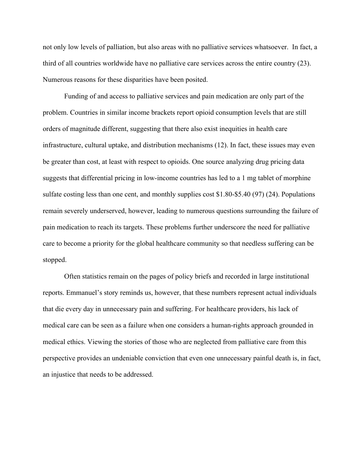not only low levels of palliation, but also areas with no palliative services whatsoever. In fact, a third of all countries worldwide have no palliative care services across the entire country (23). Numerous reasons for these disparities have been posited.

Funding of and access to palliative services and pain medication are only part of the problem. Countries in similar income brackets report opioid consumption levels that are still orders of magnitude different, suggesting that there also exist inequities in health care infrastructure, cultural uptake, and distribution mechanisms (12). In fact, these issues may even be greater than cost, at least with respect to opioids. One source analyzing drug pricing data suggests that differential pricing in low-income countries has led to a 1 mg tablet of morphine sulfate costing less than one cent, and monthly supplies cost \$1.80-\$5.40 (97) (24). Populations remain severely underserved, however, leading to numerous questions surrounding the failure of pain medication to reach its targets. These problems further underscore the need for palliative care to become a priority for the global healthcare community so that needless suffering can be stopped.

Often statistics remain on the pages of policy briefs and recorded in large institutional reports. Emmanuel's story reminds us, however, that these numbers represent actual individuals that die every day in unnecessary pain and suffering. For healthcare providers, his lack of medical care can be seen as a failure when one considers a human-rights approach grounded in medical ethics. Viewing the stories of those who are neglected from palliative care from this perspective provides an undeniable conviction that even one unnecessary painful death is, in fact, an injustice that needs to be addressed.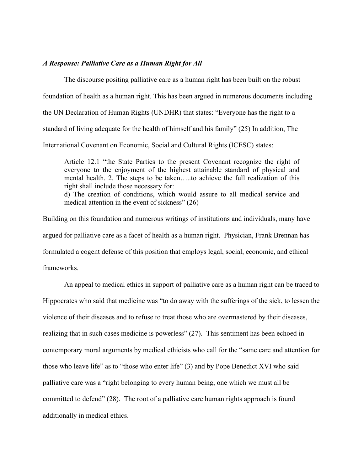### *A Response: Palliative Care as a Human Right for All*

The discourse positing palliative care as a human right has been built on the robust foundation of health as a human right. This has been argued in numerous documents including the UN Declaration of Human Rights (UNDHR) that states: "Everyone has the right to a standard of living adequate for the health of himself and his family" (25) In addition, The International Covenant on Economic, Social and Cultural Rights (ICESC) states:

Article 12.1 "the State Parties to the present Covenant recognize the right of everyone to the enjoyment of the highest attainable standard of physical and mental health. 2. The steps to be taken…..to achieve the full realization of this right shall include those necessary for: d) The creation of conditions, which would assure to all medical service and medical attention in the event of sickness" (26)

Building on this foundation and numerous writings of institutions and individuals, many have argued for palliative care as a facet of health as a human right. Physician, Frank Brennan has formulated a cogent defense of this position that employs legal, social, economic, and ethical frameworks.

An appeal to medical ethics in support of palliative care as a human right can be traced to Hippocrates who said that medicine was "to do away with the sufferings of the sick, to lessen the violence of their diseases and to refuse to treat those who are overmastered by their diseases, realizing that in such cases medicine is powerless" (27). This sentiment has been echoed in contemporary moral arguments by medical ethicists who call for the "same care and attention for those who leave life" as to "those who enter life" (3) and by Pope Benedict XVI who said palliative care was a "right belonging to every human being, one which we must all be committed to defend" (28). The root of a palliative care human rights approach is found additionally in medical ethics.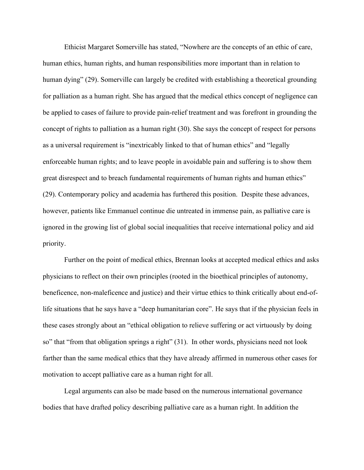Ethicist Margaret Somerville has stated, "Nowhere are the concepts of an ethic of care, human ethics, human rights, and human responsibilities more important than in relation to human dying" (29). Somerville can largely be credited with establishing a theoretical grounding for palliation as a human right. She has argued that the medical ethics concept of negligence can be applied to cases of failure to provide pain-relief treatment and was forefront in grounding the concept of rights to palliation as a human right (30). She says the concept of respect for persons as a universal requirement is "inextricably linked to that of human ethics" and "legally enforceable human rights; and to leave people in avoidable pain and suffering is to show them great disrespect and to breach fundamental requirements of human rights and human ethics" (29). Contemporary policy and academia has furthered this position. Despite these advances, however, patients like Emmanuel continue die untreated in immense pain, as palliative care is ignored in the growing list of global social inequalities that receive international policy and aid priority.

Further on the point of medical ethics, Brennan looks at accepted medical ethics and asks physicians to reflect on their own principles (rooted in the bioethical principles of autonomy, beneficence, non-maleficence and justice) and their virtue ethics to think critically about end-oflife situations that he says have a "deep humanitarian core". He says that if the physician feels in these cases strongly about an "ethical obligation to relieve suffering or act virtuously by doing so" that "from that obligation springs a right" (31). In other words, physicians need not look farther than the same medical ethics that they have already affirmed in numerous other cases for motivation to accept palliative care as a human right for all.

Legal arguments can also be made based on the numerous international governance bodies that have drafted policy describing palliative care as a human right. In addition the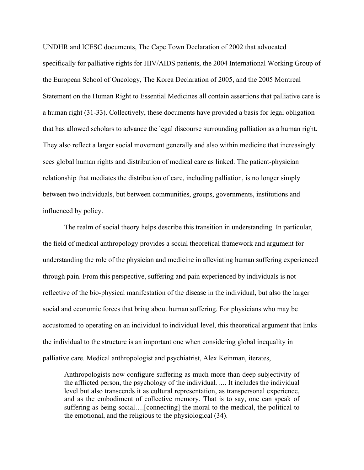UNDHR and ICESC documents, The Cape Town Declaration of 2002 that advocated specifically for palliative rights for HIV/AIDS patients, the 2004 International Working Group of the European School of Oncology, The Korea Declaration of 2005, and the 2005 Montreal Statement on the Human Right to Essential Medicines all contain assertions that palliative care is a human right (31-33). Collectively, these documents have provided a basis for legal obligation that has allowed scholars to advance the legal discourse surrounding palliation as a human right. They also reflect a larger social movement generally and also within medicine that increasingly sees global human rights and distribution of medical care as linked. The patient-physician relationship that mediates the distribution of care, including palliation, is no longer simply between two individuals, but between communities, groups, governments, institutions and influenced by policy.

The realm of social theory helps describe this transition in understanding. In particular, the field of medical anthropology provides a social theoretical framework and argument for understanding the role of the physician and medicine in alleviating human suffering experienced through pain. From this perspective, suffering and pain experienced by individuals is not reflective of the bio-physical manifestation of the disease in the individual, but also the larger social and economic forces that bring about human suffering. For physicians who may be accustomed to operating on an individual to individual level, this theoretical argument that links the individual to the structure is an important one when considering global inequality in palliative care. Medical anthropologist and psychiatrist, Alex Keinman, iterates,

Anthropologists now configure suffering as much more than deep subjectivity of the afflicted person, the psychology of the individual….. It includes the individual level but also transcends it as cultural representation, as transpersonal experience, and as the embodiment of collective memory. That is to say, one can speak of suffering as being social….[connecting] the moral to the medical, the political to the emotional, and the religious to the physiological (34).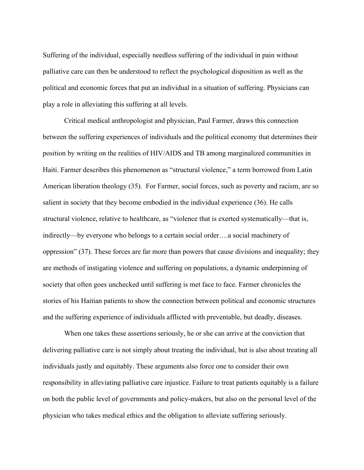Suffering of the individual, especially needless suffering of the individual in pain without palliative care can then be understood to reflect the psychological disposition as well as the political and economic forces that put an individual in a situation of suffering. Physicians can play a role in alleviating this suffering at all levels.

Critical medical anthropologist and physician, Paul Farmer, draws this connection between the suffering experiences of individuals and the political economy that determines their position by writing on the realities of HIV/AIDS and TB among marginalized communities in Haiti. Farmer describes this phenomenon as "structural violence," a term borrowed from Latin American liberation theology (35). For Farmer, social forces, such as poverty and racism, are so salient in society that they become embodied in the individual experience (36). He calls structural violence, relative to healthcare, as "violence that is exerted systematically—that is, indirectly—by everyone who belongs to a certain social order….a social machinery of oppression" (37). These forces are far more than powers that cause divisions and inequality; they are methods of instigating violence and suffering on populations, a dynamic underpinning of society that often goes unchecked until suffering is met face to face. Farmer chronicles the stories of his Haitian patients to show the connection between political and economic structures and the suffering experience of individuals afflicted with preventable, but deadly, diseases.

When one takes these assertions seriously, he or she can arrive at the conviction that delivering palliative care is not simply about treating the individual, but is also about treating all individuals justly and equitably. These arguments also force one to consider their own responsibility in alleviating palliative care injustice. Failure to treat patients equitably is a failure on both the public level of governments and policy-makers, but also on the personal level of the physician who takes medical ethics and the obligation to alleviate suffering seriously.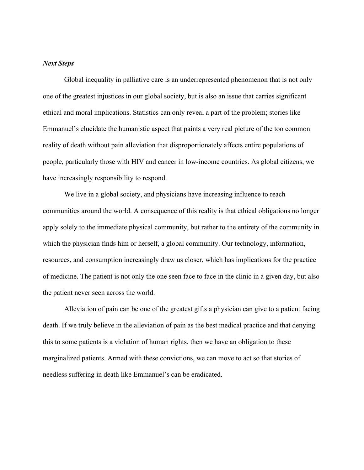### *Next Steps*

Global inequality in palliative care is an underrepresented phenomenon that is not only one of the greatest injustices in our global society, but is also an issue that carries significant ethical and moral implications. Statistics can only reveal a part of the problem; stories like Emmanuel's elucidate the humanistic aspect that paints a very real picture of the too common reality of death without pain alleviation that disproportionately affects entire populations of people, particularly those with HIV and cancer in low-income countries. As global citizens, we have increasingly responsibility to respond.

We live in a global society, and physicians have increasing influence to reach communities around the world. A consequence of this reality is that ethical obligations no longer apply solely to the immediate physical community, but rather to the entirety of the community in which the physician finds him or herself, a global community. Our technology, information, resources, and consumption increasingly draw us closer, which has implications for the practice of medicine. The patient is not only the one seen face to face in the clinic in a given day, but also the patient never seen across the world.

Alleviation of pain can be one of the greatest gifts a physician can give to a patient facing death. If we truly believe in the alleviation of pain as the best medical practice and that denying this to some patients is a violation of human rights, then we have an obligation to these marginalized patients. Armed with these convictions, we can move to act so that stories of needless suffering in death like Emmanuel's can be eradicated.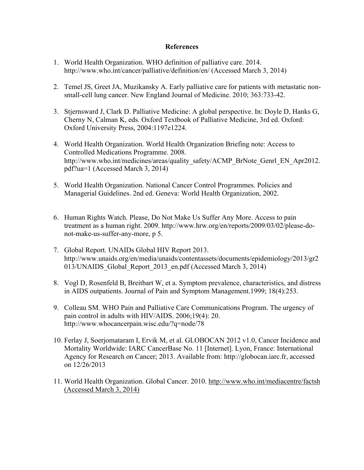## **References**

- 1. World Health Organization. WHO definition of palliative care. 2014. http://www.who.int/cancer/palliative/definition/en/ (Accessed March 3, 2014)
- 2. Temel JS, Greet JA, Muzikansky A. Early palliative care for patients with metastatic nonsmall-cell lung cancer. New England Journal of Medicine. 2010; 363:733-42.
- 3. Stjernsward J, Clark D. Palliative Medicine: A global perspective. In: Doyle D, Hanks G, Cherny N, Calman K, eds. Oxford Textbook of Palliative Medicine, 3rd ed. Oxford: Oxford University Press, 2004:1197e1224.
- 4. World Health Organization. World Health Organization Briefing note: Access to Controlled Medications Programme. 2008. http://www.who.int/medicines/areas/quality\_safety/ACMP\_BrNote\_Genrl\_EN\_Apr2012. pdf?ua=1 (Accessed March 3, 2014)
- 5. World Health Organization. National Cancer Control Programmes. Policies and Managerial Guidelines. 2nd ed. Geneva: World Health Organization, 2002.
- 6. Human Rights Watch. Please, Do Not Make Us Suffer Any More. Access to pain treatment as a human right. 2009. http://www.hrw.org/en/reports/2009/03/02/please-donot-make-us-suffer-any-more, p 5.
- 7. Global Report. UNAIDs Global HIV Report 2013. http://www.unaids.org/en/media/unaids/contentassets/documents/epidemiology/2013/gr2 013/UNAIDS\_Global\_Report\_2013\_en.pdf (Accessed March 3, 2014)
- 8. Vogl D, Rosenfeld B, Breitbart W, et a. Symptom prevalence, characteristics, and distress in AIDS outpatients. Journal of Pain and Symptom Management.1999; 18(4):253.
- 9. Colleau SM. WHO Pain and Palliative Care Communications Program. The urgency of pain control in adults with HIV/AIDS. 2006;19(4): 20. http://www.whocancerpain.wisc.edu/?q=node/78
- 10. Ferlay J, Soerjomataram I, Ervik M, et al. GLOBOCAN 2012 v1.0, Cancer Incidence and Mortality Worldwide: IARC CancerBase No. 11 [Internet]. Lyon, France: International Agency for Research on Cancer; 2013. Available from: http://globocan.iarc.fr, accessed on 12/26/2013
- 11. World Health Organization. Global Cancer. 2010. http://www.who.int/mediacentre/factsh (Accessed March 3, 2014)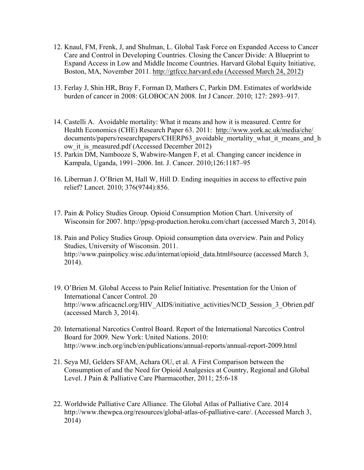- 12. Knaul, FM, Frenk, J, and Shulman, L. Global Task Force on Expanded Access to Cancer Care and Control in Developing Countries. Closing the Cancer Divide: A Blueprint to Expand Access in Low and Middle Income Countries. Harvard Global Equity Initiative, Boston, MA, November 2011. http://gtfccc.harvard.edu (Accessed March 24, 2012)
- 13. Ferlay J, Shin HR, Bray F, Forman D, Mathers C, Parkin DM. Estimates of worldwide burden of cancer in 2008: GLOBOCAN 2008. Int J Cancer. 2010; 127: 2893–917.
- 14. Castelli A. Avoidable mortality: What it means and how it is measured. Centre for Health Economics (CHE) Research Paper 63. 2011: http://www.york.ac.uk/media/che/ documents/papers/researchpapers/CHERP63 avoidable mortality what it means and h ow it is measured.pdf (Accessed December 2012)
- 15. Parkin DM, Nambooze S, Wabwire-Mangen F, et al. Changing cancer incidence in Kampala, Uganda, 1991–2006. Int. J. Cancer. 2010;126:1187–95
- 16. Liberman J. O'Brien M, Hall W, Hill D. Ending inequities in access to effective pain relief? Lancet. 2010; 376(9744):856.
- 17. Pain & Policy Studies Group. Opioid Consumption Motion Chart. University of Wisconsin for 2007. http://ppsg-production.heroku.com/chart (accessed March 3, 2014).
- 18. Pain and Policy Studies Group. Opioid consumption data overview. Pain and Policy Studies, University of Wisconsin. 2011. http://www.painpolicy.wisc.edu/internat/opioid\_data.html#source (accessed March 3, 2014).
- 19. O'Brien M. Global Access to Pain Relief Initiative. Presentation for the Union of International Cancer Control. 20 http://www.africacncl.org/HIV\_AIDS/initiative\_activities/NCD\_Session\_3\_Obrien.pdf (accessed March 3, 2014).
- 20. International Narcotics Control Board. Report of the International Narcotics Control Board for 2009. New York: United Nations. 2010: http://www.incb.org/incb/en/publications/annual-reports/annual-report-2009.html
- 21. Seya MJ, Gelders SFAM, Achara OU, et al. A First Comparison between the Consumption of and the Need for Opioid Analgesics at Country, Regional and Global Level. J Pain & Palliative Care Pharmacother, 2011; 25:6-18
- 22. Worldwide Palliative Care Alliance. The Global Atlas of Palliative Care. 2014 http://www.thewpca.org/resources/global-atlas-of-palliative-care/. (Accessed March 3, 2014)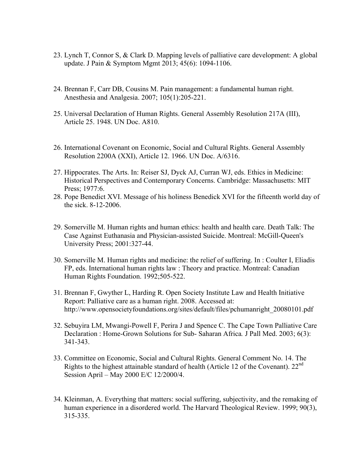- 23. Lynch T, Connor S, & Clark D. Mapping levels of palliative care development: A global update. J Pain & Symptom Mgmt 2013; 45(6): 1094-1106.
- 24. Brennan F, Carr DB, Cousins M. Pain management: a fundamental human right. Anesthesia and Analgesia. 2007; 105(1):205-221.
- 25. Universal Declaration of Human Rights. General Assembly Resolution 217A (III), Article 25. 1948. UN Doc. A810.
- 26. International Covenant on Economic, Social and Cultural Rights. General Assembly Resolution 2200A (XXI), Article 12. 1966. UN Doc. A/6316.
- 27. Hippocrates. The Arts. In: Reiser SJ, Dyck AJ, Curran WJ, eds. Ethics in Medicine: Historical Perspectives and Contemporary Concerns. Cambridge: Massachusetts: MIT Press; 1977:6.
- 28. Pope Benedict XVI. Message of his holiness Benedick XVI for the fifteenth world day of the sick. 8-12-2006.
- 29. Somerville M. Human rights and human ethics: health and health care. Death Talk: The Case Against Euthanasia and Physician-assisted Suicide. Montreal: McGill-Queen's University Press; 2001:327-44.
- 30. Somerville M. Human rights and medicine: the relief of suffering. In : Coulter I, Eliadis FP, eds. International human rights law : Theory and practice. Montreal: Canadian Human Rights Foundation. 1992;505-522.
- 31. Brennan F, Gwyther L, Harding R. Open Society Institute Law and Health Initiative Report: Palliative care as a human right. 2008. Accessed at: http://www.opensocietyfoundations.org/sites/default/files/pchumanright\_20080101.pdf
- 32. Sebuyira LM, Mwangi-Powell F, Perira J and Spence C. The Cape Town Palliative Care Declaration : Home-Grown Solutions for Sub- Saharan Africa*.* J Pall Med. 2003; 6(3): 341-343.
- 33. Committee on Economic, Social and Cultural Rights. General Comment No. 14. The Rights to the highest attainable standard of health (Article 12 of the Covenant).  $22<sup>nd</sup>$ Session April – May 2000 E/C 12/2000/4.
- 34. Kleinman, A. Everything that matters: social suffering, subjectivity, and the remaking of human experience in a disordered world. The Harvard Theological Review. 1999: 90(3). 315-335.